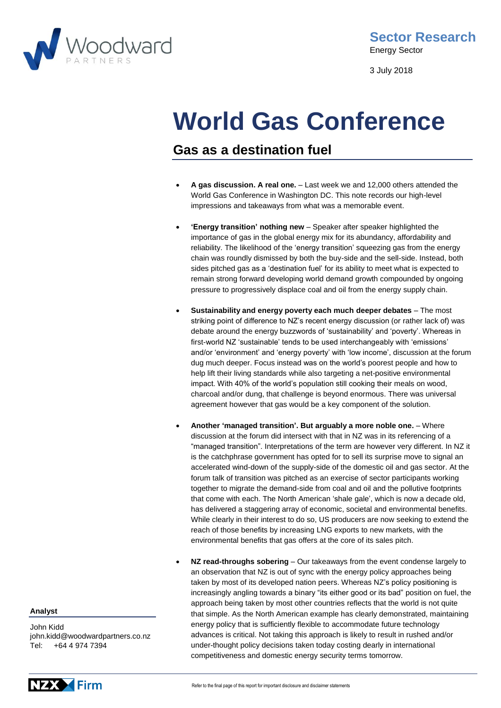

3 July 2018

# **World Gas Conference**

## **Gas as a destination fuel**

- **A gas discussion. A real one.**  Last week we and 12,000 others attended the World Gas Conference in Washington DC. This note records our high-level impressions and takeaways from what was a memorable event.
- **'Energy transition' nothing new** Speaker after speaker highlighted the importance of gas in the global energy mix for its abundancy, affordability and reliability. The likelihood of the 'energy transition' squeezing gas from the energy chain was roundly dismissed by both the buy-side and the sell-side. Instead, both sides pitched gas as a 'destination fuel' for its ability to meet what is expected to remain strong forward developing world demand growth compounded by ongoing pressure to progressively displace coal and oil from the energy supply chain.
- **Sustainability and energy poverty each much deeper debates** The most striking point of difference to NZ's recent energy discussion (or rather lack of) was debate around the energy buzzwords of 'sustainability' and 'poverty'. Whereas in first-world NZ 'sustainable' tends to be used interchangeably with 'emissions' and/or 'environment' and 'energy poverty' with 'low income', discussion at the forum dug much deeper. Focus instead was on the world's poorest people and how to help lift their living standards while also targeting a net-positive environmental impact. With 40% of the world's population still cooking their meals on wood, charcoal and/or dung, that challenge is beyond enormous. There was universal agreement however that gas would be a key component of the solution.
- **Another 'managed transition'. But arguably a more noble one.** Where discussion at the forum did intersect with that in NZ was in its referencing of a "managed transition". Interpretations of the term are however very different. In NZ it is the catchphrase government has opted for to sell its surprise move to signal an accelerated wind-down of the supply-side of the domestic oil and gas sector. At the forum talk of transition was pitched as an exercise of sector participants working together to migrate the demand-side from coal and oil and the pollutive footprints that come with each. The North American 'shale gale', which is now a decade old, has delivered a staggering array of economic, societal and environmental benefits. While clearly in their interest to do so, US producers are now seeking to extend the reach of those benefits by increasing LNG exports to new markets, with the environmental benefits that gas offers at the core of its sales pitch.
- **NZ read-throughs sobering** Our takeaways from the event condense largely to an observation that NZ is out of sync with the energy policy approaches being taken by most of its developed nation peers. Whereas NZ's policy positioning is increasingly angling towards a binary "its either good or its bad" position on fuel, the approach being taken by most other countries reflects that the world is not quite that simple. As the North American example has clearly demonstrated, maintaining energy policy that is sufficiently flexible to accommodate future technology advances is critical. Not taking this approach is likely to result in rushed and/or under-thought policy decisions taken today costing dearly in international competitiveness and domestic energy security terms tomorrow.

**Analyst**

John Kidd john.kidd@woodwardpartners.co.nz Tel: +64 4 974 7394

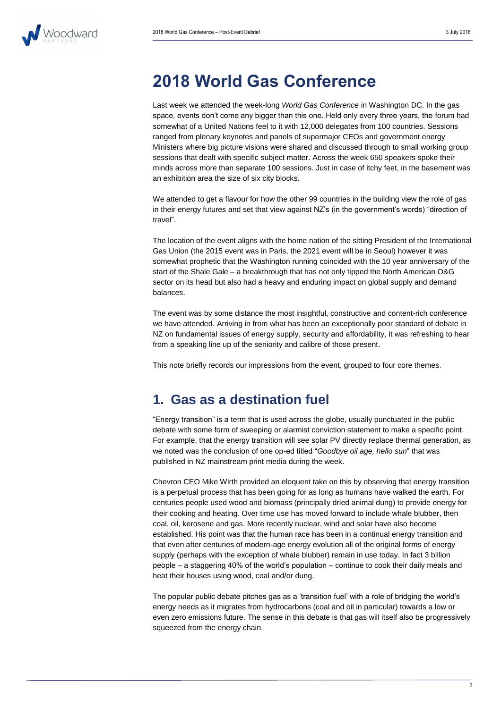

# **2018 World Gas Conference**

Last week we attended the week-long *World Gas Conference* in Washington DC. In the gas space, events don't come any bigger than this one. Held only every three years, the forum had somewhat of a United Nations feel to it with 12,000 delegates from 100 countries. Sessions ranged from plenary keynotes and panels of supermajor CEOs and government energy Ministers where big picture visions were shared and discussed through to small working group sessions that dealt with specific subject matter. Across the week 650 speakers spoke their minds across more than separate 100 sessions. Just in case of itchy feet, in the basement was an exhibition area the size of six city blocks.

We attended to get a flavour for how the other 99 countries in the building view the role of gas in their energy futures and set that view against NZ's (in the government's words) "direction of travel".

The location of the event aligns with the home nation of the sitting President of the International Gas Union (the 2015 event was in Paris, the 2021 event will be in Seoul) however it was somewhat prophetic that the Washington running coincided with the 10 year anniversary of the start of the Shale Gale – a breakthrough that has not only tipped the North American O&G sector on its head but also had a heavy and enduring impact on global supply and demand balances.

The event was by some distance the most insightful, constructive and content-rich conference we have attended. Arriving in from what has been an exceptionally poor standard of debate in NZ on fundamental issues of energy supply, security and affordability, it was refreshing to hear from a speaking line up of the seniority and calibre of those present.

This note briefly records our impressions from the event, grouped to four core themes.

### **1. Gas as a destination fuel**

"Energy transition" is a term that is used across the globe, usually punctuated in the public debate with some form of sweeping or alarmist conviction statement to make a specific point. For example, that the energy transition will see solar PV directly replace thermal generation, as we noted was the conclusion of one op-ed titled "*Goodbye oil age, hello sun*" that was published in NZ mainstream print media during the week.

Chevron CEO Mike Wirth provided an eloquent take on this by observing that energy transition is a perpetual process that has been going for as long as humans have walked the earth. For centuries people used wood and biomass (principally dried animal dung) to provide energy for their cooking and heating. Over time use has moved forward to include whale blubber, then coal, oil, kerosene and gas. More recently nuclear, wind and solar have also become established. His point was that the human race has been in a continual energy transition and that even after centuries of modern-age energy evolution all of the original forms of energy supply (perhaps with the exception of whale blubber) remain in use today. In fact 3 billion people – a staggering 40% of the world's population – continue to cook their daily meals and heat their houses using wood, coal and/or dung.

The popular public debate pitches gas as a 'transition fuel' with a role of bridging the world's energy needs as it migrates from hydrocarbons (coal and oil in particular) towards a low or even zero emissions future. The sense in this debate is that gas will itself also be progressively squeezed from the energy chain.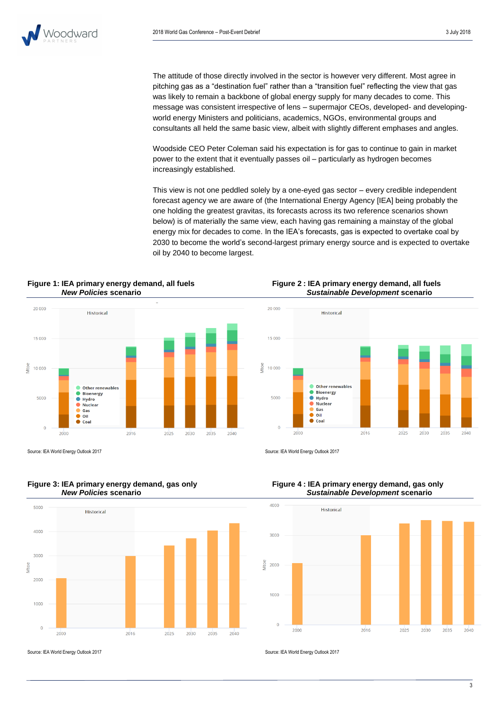The attitude of those directly involved in the sector is however very different. Most agree in pitching gas as a "destination fuel" rather than a "transition fuel" reflecting the view that gas was likely to remain a backbone of global energy supply for many decades to come. This message was consistent irrespective of lens – supermajor CEOs, developed- and developingworld energy Ministers and politicians, academics, NGOs, environmental groups and consultants all held the same basic view, albeit with slightly different emphases and angles.

Woodside CEO Peter Coleman said his expectation is for gas to continue to gain in market power to the extent that it eventually passes oil – particularly as hydrogen becomes increasingly established.

This view is not one peddled solely by a one-eyed gas sector – every credible independent forecast agency we are aware of (the International Energy Agency [IEA] being probably the one holding the greatest gravitas, its forecasts across its two reference scenarios shown below) is of materially the same view, each having gas remaining a mainstay of the global energy mix for decades to come. In the IEA's forecasts, gas is expected to overtake coal by 2030 to become the world's second-largest primary energy source and is expected to overtake oil by 2040 to become largest.

# **Figure 1: IEA primary energy demand, all fuels Figure 2 : IEA primary energy demand, all fuels**



**Figure 3: IEA primary energy demand, gas only Figure 4 : IEA primary energy demand, gas only**



*New Policies* **scenario** *Sustainable Development* **scenario**



Source: IEA World Energy Outlook 2017 Source: IEA World Energy Outlook 2017



# *New Policies* **scenario** *Sustainable Development* **scenario**

Source: IEA World Energy Outlook 2017 Source: IEA World Energy Outlook 2017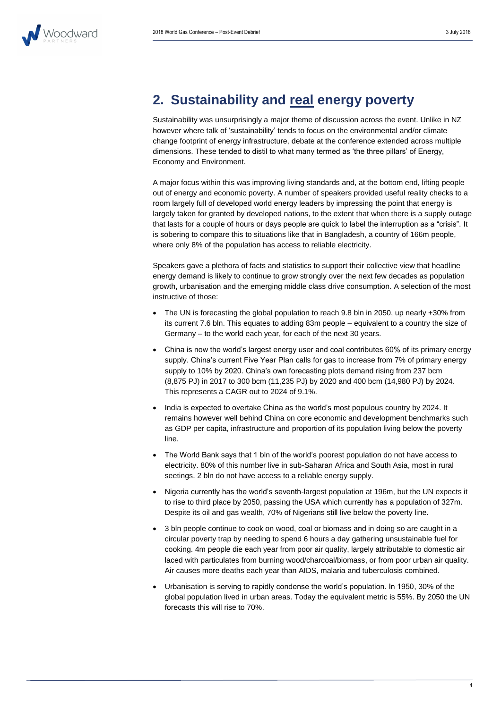

# **2. Sustainability and real energy poverty**

Sustainability was unsurprisingly a major theme of discussion across the event. Unlike in NZ however where talk of 'sustainability' tends to focus on the environmental and/or climate change footprint of energy infrastructure, debate at the conference extended across multiple dimensions. These tended to distil to what many termed as 'the three pillars' of Energy, Economy and Environment.

A major focus within this was improving living standards and, at the bottom end, lifting people out of energy and economic poverty. A number of speakers provided useful reality checks to a room largely full of developed world energy leaders by impressing the point that energy is largely taken for granted by developed nations, to the extent that when there is a supply outage that lasts for a couple of hours or days people are quick to label the interruption as a "crisis". It is sobering to compare this to situations like that in Bangladesh, a country of 166m people, where only 8% of the population has access to reliable electricity.

Speakers gave a plethora of facts and statistics to support their collective view that headline energy demand is likely to continue to grow strongly over the next few decades as population growth, urbanisation and the emerging middle class drive consumption. A selection of the most instructive of those:

- The UN is forecasting the global population to reach 9.8 bln in 2050, up nearly +30% from its current 7.6 bln. This equates to adding 83m people – equivalent to a country the size of Germany – to the world each year, for each of the next 30 years.
- China is now the world's largest energy user and coal contributes 60% of its primary energy supply. China's current Five Year Plan calls for gas to increase from 7% of primary energy supply to 10% by 2020. China's own forecasting plots demand rising from 237 bcm (8,875 PJ) in 2017 to 300 bcm (11,235 PJ) by 2020 and 400 bcm (14,980 PJ) by 2024. This represents a CAGR out to 2024 of 9.1%.
- India is expected to overtake China as the world's most populous country by 2024. It remains however well behind China on core economic and development benchmarks such as GDP per capita, infrastructure and proportion of its population living below the poverty line.
- The World Bank says that 1 bln of the world's poorest population do not have access to electricity. 80% of this number live in sub-Saharan Africa and South Asia, most in rural seetings. 2 bln do not have access to a reliable energy supply.
- Nigeria currently has the world's seventh-largest population at 196m, but the UN expects it to rise to third place by 2050, passing the USA which currently has a population of 327m. Despite its oil and gas wealth, 70% of Nigerians still live below the poverty line.
- 3 bln people continue to cook on wood, coal or biomass and in doing so are caught in a circular poverty trap by needing to spend 6 hours a day gathering unsustainable fuel for cooking. 4m people die each year from poor air quality, largely attributable to domestic air laced with particulates from burning wood/charcoal/biomass, or from poor urban air quality. Air causes more deaths each year than AIDS, malaria and tuberculosis combined.
- Urbanisation is serving to rapidly condense the world's population. In 1950, 30% of the global population lived in urban areas. Today the equivalent metric is 55%. By 2050 the UN forecasts this will rise to 70%.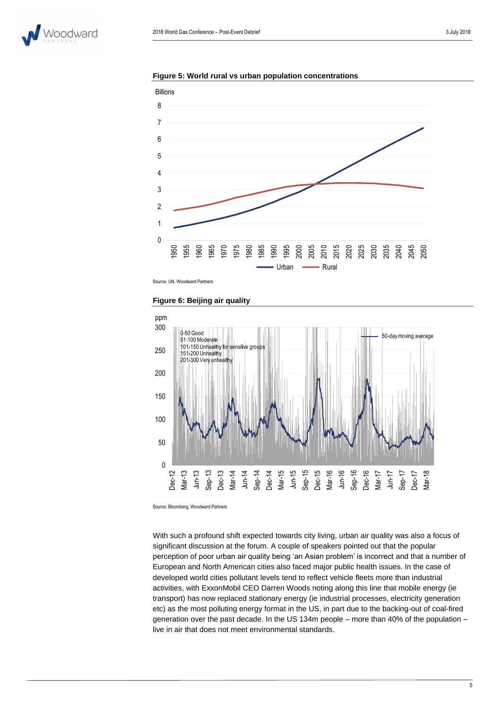

**Figure 5: World rural vs urban population concentrations**



Source: UN, Woodward Partners





Source: Bloomberg, Woodward Partners

With such a profound shift expected towards city living, urban air quality was also a focus of significant discussion at the forum. A couple of speakers pointed out that the popular perception of poor urban air quality being 'an Asian problem' is incorrect and that a number of European and North American cities also faced major public health issues. In the case of developed world cities pollutant levels tend to reflect vehicle fleets more than industrial activities, with ExxonMobil CEO Darren Woods noting along this line that mobile energy (ie transport) has now replaced stationary energy (ie industrial processes, electricity generation etc) as the most polluting energy format in the US, in part due to the backing-out of coal-fired generation over the past decade. In the US 134m people – more than 40% of the population – live in air that does not meet environmental standards.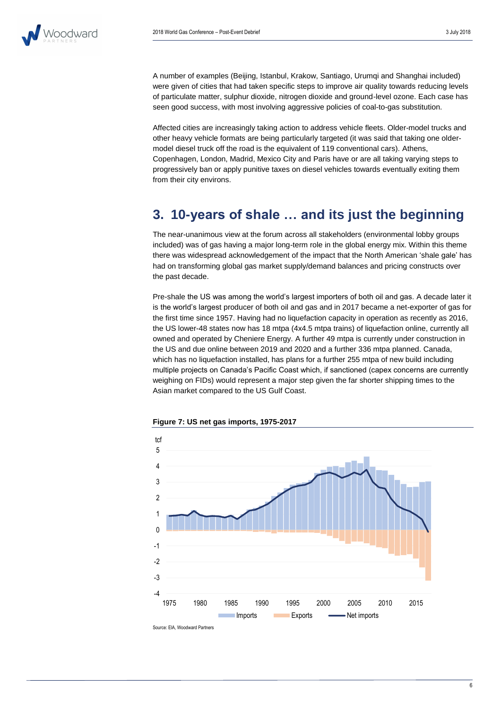

A number of examples (Beijing, Istanbul, Krakow, Santiago, Urumqi and Shanghai included) were given of cities that had taken specific steps to improve air quality towards reducing levels of particulate matter, sulphur dioxide, nitrogen dioxide and ground-level ozone. Each case has seen good success, with most involving aggressive policies of coal-to-gas substitution.

Affected cities are increasingly taking action to address vehicle fleets. Older-model trucks and other heavy vehicle formats are being particularly targeted (it was said that taking one oldermodel diesel truck off the road is the equivalent of 119 conventional cars). Athens, Copenhagen, London, Madrid, Mexico City and Paris have or are all taking varying steps to progressively ban or apply punitive taxes on diesel vehicles towards eventually exiting them from their city environs.

### **3. 10-years of shale … and its just the beginning**

The near-unanimous view at the forum across all stakeholders (environmental lobby groups included) was of gas having a major long-term role in the global energy mix. Within this theme there was widespread acknowledgement of the impact that the North American 'shale gale' has had on transforming global gas market supply/demand balances and pricing constructs over the past decade.

Pre-shale the US was among the world's largest importers of both oil and gas. A decade later it is the world's largest producer of both oil and gas and in 2017 became a net-exporter of gas for the first time since 1957. Having had no liquefaction capacity in operation as recently as 2016, the US lower-48 states now has 18 mtpa (4x4.5 mtpa trains) of liquefaction online, currently all owned and operated by Cheniere Energy. A further 49 mtpa is currently under construction in the US and due online between 2019 and 2020 and a further 336 mtpa planned. Canada, which has no liquefaction installed, has plans for a further 255 mtpa of new build including multiple projects on Canada's Pacific Coast which, if sanctioned (capex concerns are currently weighing on FIDs) would represent a major step given the far shorter shipping times to the Asian market compared to the US Gulf Coast.



**Figure 7: US net gas imports, 1975-2017**

Source: EIA, Woodward Partners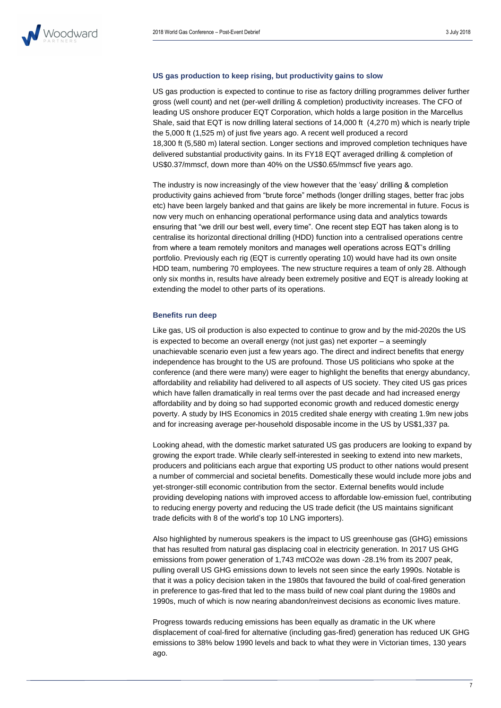

#### **US gas production to keep rising, but productivity gains to slow**

US gas production is expected to continue to rise as factory drilling programmes deliver further gross (well count) and net (per-well drilling & completion) productivity increases. The CFO of leading US onshore producer EQT Corporation, which holds a large position in the Marcellus Shale, said that EQT is now drilling lateral sections of 14,000 ft (4,270 m) which is nearly triple the 5,000 ft (1,525 m) of just five years ago. A recent well produced a record 18,300 ft (5,580 m) lateral section. Longer sections and improved completion techniques have delivered substantial productivity gains. In its FY18 EQT averaged drilling & completion of US\$0.37/mmscf, down more than 40% on the US\$0.65/mmscf five years ago.

The industry is now increasingly of the view however that the 'easy' drilling & completion productivity gains achieved from "brute force" methods (longer drilling stages, better frac jobs etc) have been largely banked and that gains are likely be more incremental in future. Focus is now very much on enhancing operational performance using data and analytics towards ensuring that "we drill our best well, every time". One recent step EQT has taken along is to centralise its horizontal directional drilling (HDD) function into a centralised operations centre from where a team remotely monitors and manages well operations across EQT's drilling portfolio. Previously each rig (EQT is currently operating 10) would have had its own onsite HDD team, numbering 70 employees. The new structure requires a team of only 28. Although only six months in, results have already been extremely positive and EQT is already looking at extending the model to other parts of its operations.

#### **Benefits run deep**

Like gas, US oil production is also expected to continue to grow and by the mid-2020s the US is expected to become an overall energy (not just gas) net exporter – a seemingly unachievable scenario even just a few years ago. The direct and indirect benefits that energy independence has brought to the US are profound. Those US politicians who spoke at the conference (and there were many) were eager to highlight the benefits that energy abundancy, affordability and reliability had delivered to all aspects of US society. They cited US gas prices which have fallen dramatically in real terms over the past decade and had increased energy affordability and by doing so had supported economic growth and reduced domestic energy poverty. A study by IHS Economics in 2015 credited shale energy with creating 1.9m new jobs and for increasing average per-household disposable income in the US by US\$1,337 pa.

Looking ahead, with the domestic market saturated US gas producers are looking to expand by growing the export trade. While clearly self-interested in seeking to extend into new markets, producers and politicians each argue that exporting US product to other nations would present a number of commercial and societal benefits. Domestically these would include more jobs and yet-stronger-still economic contribution from the sector. External benefits would include providing developing nations with improved access to affordable low-emission fuel, contributing to reducing energy poverty and reducing the US trade deficit (the US maintains significant trade deficits with 8 of the world's top 10 LNG importers).

Also highlighted by numerous speakers is the impact to US greenhouse gas (GHG) emissions that has resulted from natural gas displacing coal in electricity generation. In 2017 US GHG emissions from power generation of 1,743 mtCO2e was down -28.1% from its 2007 peak, pulling overall US GHG emissions down to levels not seen since the early 1990s. Notable is that it was a policy decision taken in the 1980s that favoured the build of coal-fired generation in preference to gas-fired that led to the mass build of new coal plant during the 1980s and 1990s, much of which is now nearing abandon/reinvest decisions as economic lives mature.

Progress towards reducing emissions has been equally as dramatic in the UK where displacement of coal-fired for alternative (including gas-fired) generation has reduced UK GHG emissions to 38% below 1990 levels and back to what they were in Victorian times, 130 years ago.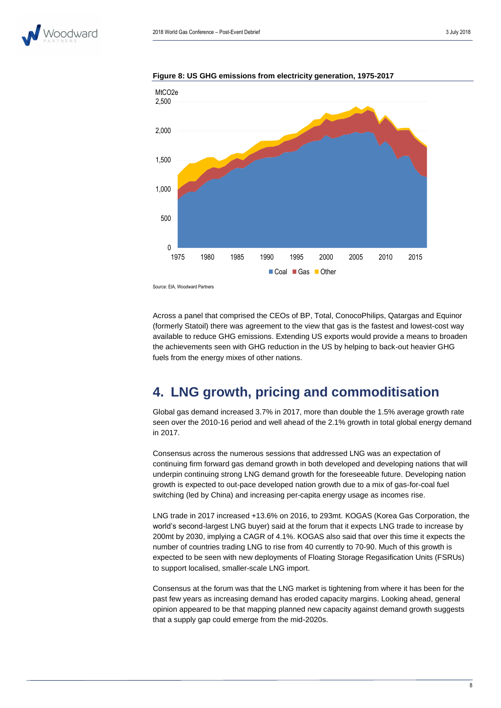



**Figure 8: US GHG emissions from electricity generation, 1975-2017**

Source: EIA, Woodward Partners

Across a panel that comprised the CEOs of BP, Total, ConocoPhilips, Qatargas and Equinor (formerly Statoil) there was agreement to the view that gas is the fastest and lowest-cost way available to reduce GHG emissions. Extending US exports would provide a means to broaden the achievements seen with GHG reduction in the US by helping to back-out heavier GHG fuels from the energy mixes of other nations.

# **4. LNG growth, pricing and commoditisation**

Global gas demand increased 3.7% in 2017, more than double the 1.5% average growth rate seen over the 2010-16 period and well ahead of the 2.1% growth in total global energy demand in 2017.

Consensus across the numerous sessions that addressed LNG was an expectation of continuing firm forward gas demand growth in both developed and developing nations that will underpin continuing strong LNG demand growth for the foreseeable future. Developing nation growth is expected to out-pace developed nation growth due to a mix of gas-for-coal fuel switching (led by China) and increasing per-capita energy usage as incomes rise.

LNG trade in 2017 increased +13.6% on 2016, to 293mt. KOGAS (Korea Gas Corporation, the world's second-largest LNG buyer) said at the forum that it expects LNG trade to increase by 200mt by 2030, implying a CAGR of 4.1%. KOGAS also said that over this time it expects the number of countries trading LNG to rise from 40 currently to 70-90. Much of this growth is expected to be seen with new deployments of Floating Storage Regasification Units (FSRUs) to support localised, smaller-scale LNG import.

Consensus at the forum was that the LNG market is tightening from where it has been for the past few years as increasing demand has eroded capacity margins. Looking ahead, general opinion appeared to be that mapping planned new capacity against demand growth suggests that a supply gap could emerge from the mid-2020s.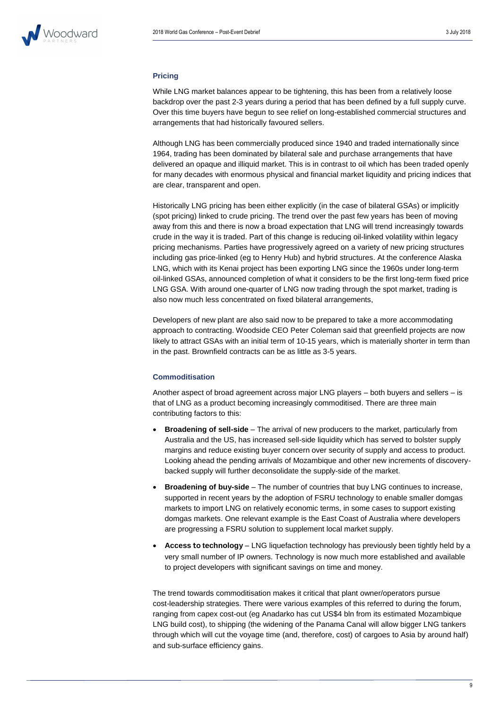#### **Pricing**

While LNG market balances appear to be tightening, this has been from a relatively loose backdrop over the past 2-3 years during a period that has been defined by a full supply curve. Over this time buyers have begun to see relief on long-established commercial structures and arrangements that had historically favoured sellers.

Although LNG has been commercially produced since 1940 and traded internationally since 1964, trading has been dominated by bilateral sale and purchase arrangements that have delivered an opaque and illiquid market. This is in contrast to oil which has been traded openly for many decades with enormous physical and financial market liquidity and pricing indices that are clear, transparent and open.

Historically LNG pricing has been either explicitly (in the case of bilateral GSAs) or implicitly (spot pricing) linked to crude pricing. The trend over the past few years has been of moving away from this and there is now a broad expectation that LNG will trend increasingly towards crude in the way it is traded. Part of this change is reducing oil-linked volatility within legacy pricing mechanisms. Parties have progressively agreed on a variety of new pricing structures including gas price-linked (eg to Henry Hub) and hybrid structures. At the conference Alaska LNG, which with its Kenai project has been exporting LNG since the 1960s under long-term oil-linked GSAs, announced completion of what it considers to be the first long-term fixed price LNG GSA. With around one-quarter of LNG now trading through the spot market, trading is also now much less concentrated on fixed bilateral arrangements,

Developers of new plant are also said now to be prepared to take a more accommodating approach to contracting. Woodside CEO Peter Coleman said that greenfield projects are now likely to attract GSAs with an initial term of 10-15 years, which is materially shorter in term than in the past. Brownfield contracts can be as little as 3-5 years.

#### **Commoditisation**

Another aspect of broad agreement across major LNG players – both buyers and sellers – is that of LNG as a product becoming increasingly commoditised. There are three main contributing factors to this:

- **Broadening of sell-side** The arrival of new producers to the market, particularly from Australia and the US, has increased sell-side liquidity which has served to bolster supply margins and reduce existing buyer concern over security of supply and access to product. Looking ahead the pending arrivals of Mozambique and other new increments of discoverybacked supply will further deconsolidate the supply-side of the market.
- **Broadening of buy-side** The number of countries that buy LNG continues to increase, supported in recent years by the adoption of FSRU technology to enable smaller domgas markets to import LNG on relatively economic terms, in some cases to support existing domgas markets. One relevant example is the East Coast of Australia where developers are progressing a FSRU solution to supplement local market supply.
- **Access to technology** LNG liquefaction technology has previously been tightly held by a very small number of IP owners. Technology is now much more established and available to project developers with significant savings on time and money.

The trend towards commoditisation makes it critical that plant owner/operators pursue cost-leadership strategies. There were various examples of this referred to during the forum, ranging from capex cost-out (eg Anadarko has cut US\$4 bln from its estimated Mozambique LNG build cost), to shipping (the widening of the Panama Canal will allow bigger LNG tankers through which will cut the voyage time (and, therefore, cost) of cargoes to Asia by around half) and sub-surface efficiency gains.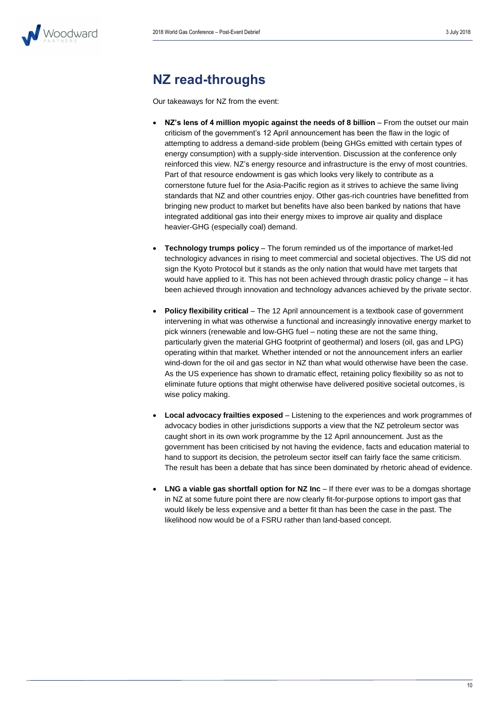

### **NZ read-throughs**

Our takeaways for NZ from the event:

- **NZ's lens of 4 million myopic against the needs of 8 billion** From the outset our main criticism of the government's 12 April announcement has been the flaw in the logic of attempting to address a demand-side problem (being GHGs emitted with certain types of energy consumption) with a supply-side intervention. Discussion at the conference only reinforced this view. NZ's energy resource and infrastructure is the envy of most countries. Part of that resource endowment is gas which looks very likely to contribute as a cornerstone future fuel for the Asia-Pacific region as it strives to achieve the same living standards that NZ and other countries enjoy. Other gas-rich countries have benefitted from bringing new product to market but benefits have also been banked by nations that have integrated additional gas into their energy mixes to improve air quality and displace heavier-GHG (especially coal) demand.
- **Technology trumps policy** The forum reminded us of the importance of market-led technologicy advances in rising to meet commercial and societal objectives. The US did not sign the Kyoto Protocol but it stands as the only nation that would have met targets that would have applied to it. This has not been achieved through drastic policy change – it has been achieved through innovation and technology advances achieved by the private sector.
- **Policy flexibility critical** The 12 April announcement is a textbook case of government intervening in what was otherwise a functional and increasingly innovative energy market to pick winners (renewable and low-GHG fuel – noting these are not the same thing, particularly given the material GHG footprint of geothermal) and losers (oil, gas and LPG) operating within that market. Whether intended or not the announcement infers an earlier wind-down for the oil and gas sector in NZ than what would otherwise have been the case. As the US experience has shown to dramatic effect, retaining policy flexibility so as not to eliminate future options that might otherwise have delivered positive societal outcomes, is wise policy making.
- **Local advocacy frailties exposed** Listening to the experiences and work programmes of advocacy bodies in other jurisdictions supports a view that the NZ petroleum sector was caught short in its own work programme by the 12 April announcement. Just as the government has been criticised by not having the evidence, facts and education material to hand to support its decision, the petroleum sector itself can fairly face the same criticism. The result has been a debate that has since been dominated by rhetoric ahead of evidence.
- **LNG a viable gas shortfall option for NZ Inc** If there ever was to be a domgas shortage in NZ at some future point there are now clearly fit-for-purpose options to import gas that would likely be less expensive and a better fit than has been the case in the past. The likelihood now would be of a FSRU rather than land-based concept.